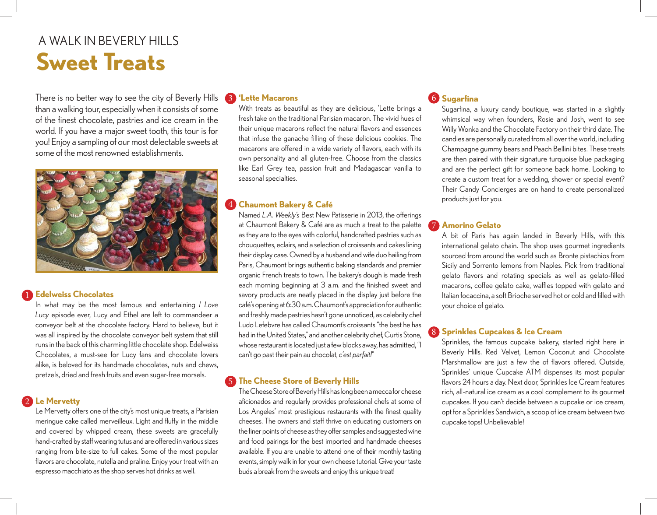# **Sweet Treats** A WALK IN BEVERLY HILLS

There is no better way to see the city of Beverly Hills than a walking tour, especially when it consists of some of the finest chocolate, pastries and ice cream in the world. If you have a major sweet tooth, this tour is for you! Enjoy a sampling of our most delectable sweets at some of the most renowned establishments.



# **Edelweiss Chocolates** 1

In what may be the most famous and entertaining *I Love Lucy* episode ever, Lucy and Ethel are left to commandeer a conveyor belt at the chocolate factory. Hard to believe, but it was all inspired by the chocolate conveyor belt system that still runs in the back of this charming little chocolate shop. Edelweiss Chocolates, a must-see for Lucy fans and chocolate lovers alike, is beloved for its handmade chocolates, nuts and chews, pretzels, dried and fresh fruits and even sugar-free morsels.

**Le Mervetty** 2

Le Mervetty offers one of the city's most unique treats, a Parisian meringue cake called merveilleux. Light and fluffy in the middle and covered by whipped cream, these sweets are gracefully hand-crafted by staff wearing tutus and are offered in various sizes ranging from bite-size to full cakes. Some of the most popular flavors are chocolate, nutella and praline. Enjoy your treat with an espresso macchiato as the shop serves hot drinks as well.

#### 3 **'Lette Macarons**

With treats as beautiful as they are delicious, 'Lette brings a fresh take on the traditional Parisian macaron. The vivid hues of their unique macarons reflect the natural flavors and essences that infuse the ganache filling of these delicious cookies. The macarons are offered in a wide variety of flavors, each with its own personality and all gluten-free. Choose from the classics like Earl Grey tea, passion fruit and Madagascar vanilla to seasonal specialties.

#### 4 **Chaumont Bakery & Café**

Named *L.A. Weekly's* Best New Patisserie in 2013, the offerings at Chaumont Bakery & Café are as much a treat to the palette as they are to the eyes with colorful, handcrafted pastries such as chouquettes, eclairs, and a selection of croissants and cakes lining their display case. Owned by a husband and wife duo hailing from Paris, Chaumont brings authentic baking standards and premier organic French treats to town. The bakery's dough is made fresh each morning beginning at 3 a.m. and the finished sweet and savory products are neatly placed in the display just before the café's opening at 6:30 a.m. Chaumont's appreciation for authentic and freshly made pastries hasn't gone unnoticed, as celebrity chef Ludo Lefebvre has called Chaumont's croissants "the best he has had in the United States," and another celebrity chef, Curtis Stone, whose restaurant is located just a few blocks away, has admitted, "I can't go past their pain au chocolat, *c'est parfait!*"

# 5 **The Cheese Store of Beverly Hills**

The Cheese Store of Beverly Hills has long been a mecca for cheese aficionados and regularly provides professional chefs at some of Los Angeles' most prestigious restaurants with the finest quality cheeses. The owners and staff thrive on educating customers on the finer points of cheese as they offer samples and suggested wine and food pairings for the best imported and handmade cheeses available. If you are unable to attend one of their monthly tasting events, simply walk in for your own cheese tutorial. Give your taste buds a break from the sweets and enjoy this unique treat!

# 6 **Sugarfina**

Sugarfina, a luxury candy boutique, was started in a slightly whimsical way when founders, Rosie and Josh, went to see Willy Wonka and the Chocolate Factory on their third date. The candies are personally curated from all over the world, including Champagne gummy bears and Peach Bellini bites. These treats are then paired with their signature turquoise blue packaging and are the perfect gift for someone back home. Looking to create a custom treat for a wedding, shower or special event? Their Candy Concierges are on hand to create personalized products just for you.

### 7 **Amorino Gelato**

A bit of Paris has again landed in Beverly Hills, with this international gelato chain. The shop uses gourmet ingredients sourced from around the world such as Bronte pistachios from Sicily and Sorrento lemons from Naples. Pick from traditional gelato flavors and rotating specials as well as gelato-filled macarons, coffee gelato cake, waffles topped with gelato and Italian focaccina, a soft Brioche served hot or cold and filled with your choice of gelato.

### **Sprinkles Cupcakes & Ice Cream** 8

Sprinkles, the famous cupcake bakery, started right here in Beverly Hills. Red Velvet, Lemon Coconut and Chocolate Marshmallow are just a few the of flavors offered. Outside, Sprinkles' unique Cupcake ATM dispenses its most popular flavors 24 hours a day. Next door, Sprinkles Ice Cream features rich, all-natural ice cream as a cool complement to its gourmet cupcakes. If you can't decide between a cupcake or ice cream, opt for a Sprinkles Sandwich, a scoop of ice cream between two cupcake tops! Unbelievable!